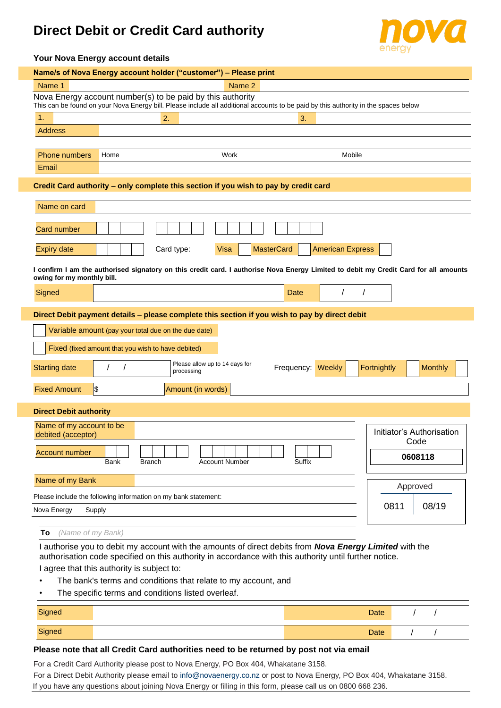# **Direct Debit or Credit Card authority**



#### **Your Nova Energy account details**

| Name/s of Nova Energy account holder ("customer") - Please print                                                                                                                                  |                                                      |                                                                                      |                                              |                               |  |  |  |  |
|---------------------------------------------------------------------------------------------------------------------------------------------------------------------------------------------------|------------------------------------------------------|--------------------------------------------------------------------------------------|----------------------------------------------|-------------------------------|--|--|--|--|
| Name 1<br>Name 2                                                                                                                                                                                  |                                                      |                                                                                      |                                              |                               |  |  |  |  |
| Nova Energy account number(s) to be paid by this authority<br>This can be found on your Nova Energy bill. Please include all additional accounts to be paid by this authority in the spaces below |                                                      |                                                                                      |                                              |                               |  |  |  |  |
| 1.                                                                                                                                                                                                | 2.                                                   |                                                                                      | 3.                                           |                               |  |  |  |  |
| <b>Address</b>                                                                                                                                                                                    |                                                      |                                                                                      |                                              |                               |  |  |  |  |
|                                                                                                                                                                                                   |                                                      |                                                                                      |                                              |                               |  |  |  |  |
| <b>Phone numbers</b>                                                                                                                                                                              | Work<br>Mobile<br>Home                               |                                                                                      |                                              |                               |  |  |  |  |
| Email                                                                                                                                                                                             |                                                      |                                                                                      |                                              |                               |  |  |  |  |
|                                                                                                                                                                                                   |                                                      | Credit Card authority - only complete this section if you wish to pay by credit card |                                              |                               |  |  |  |  |
| Name on card                                                                                                                                                                                      |                                                      |                                                                                      |                                              |                               |  |  |  |  |
|                                                                                                                                                                                                   |                                                      |                                                                                      |                                              |                               |  |  |  |  |
| <b>Card number</b>                                                                                                                                                                                |                                                      |                                                                                      |                                              |                               |  |  |  |  |
| <b>Expiry date</b>                                                                                                                                                                                |                                                      | Card type:<br><b>Visa</b>                                                            | <b>American Express</b><br><b>MasterCard</b> |                               |  |  |  |  |
| I confirm I am the authorised signatory on this credit card. I authorise Nova Energy Limited to debit my Credit Card for all amounts<br>owing for my monthly bill.                                |                                                      |                                                                                      |                                              |                               |  |  |  |  |
| Signed                                                                                                                                                                                            |                                                      |                                                                                      | Date                                         | $\prime$                      |  |  |  |  |
| Direct Debit payment details - please complete this section if you wish to pay by direct debit                                                                                                    |                                                      |                                                                                      |                                              |                               |  |  |  |  |
|                                                                                                                                                                                                   | Variable amount (pay your total due on the due date) |                                                                                      |                                              |                               |  |  |  |  |
| Fixed (fixed amount that you wish to have debited)                                                                                                                                                |                                                      |                                                                                      |                                              |                               |  |  |  |  |
| <b>Starting date</b>                                                                                                                                                                              | $\prime$<br>$\prime$                                 | Please allow up to 14 days for<br>processing                                         | Frequency:<br>Weekly                         | Fortnightly<br><b>Monthly</b> |  |  |  |  |
| \$<br><b>Fixed Amount</b><br>Amount (in words)                                                                                                                                                    |                                                      |                                                                                      |                                              |                               |  |  |  |  |
| <b>Direct Debit authority</b>                                                                                                                                                                     |                                                      |                                                                                      |                                              |                               |  |  |  |  |
|                                                                                                                                                                                                   |                                                      |                                                                                      |                                              |                               |  |  |  |  |
| Name of my account to be<br>Initiator's Authorisation<br>debited (acceptor)                                                                                                                       |                                                      |                                                                                      |                                              |                               |  |  |  |  |
| Code<br><b>Account number</b>                                                                                                                                                                     |                                                      |                                                                                      |                                              |                               |  |  |  |  |
|                                                                                                                                                                                                   | <b>Bank</b><br><b>Branch</b>                         | <b>Account Number</b>                                                                | Suffix                                       | 0608118                       |  |  |  |  |
| Name of my Bank                                                                                                                                                                                   |                                                      |                                                                                      |                                              |                               |  |  |  |  |
| Please include the following information on my bank statement:                                                                                                                                    | Approved                                             |                                                                                      |                                              |                               |  |  |  |  |
| Nova Energy                                                                                                                                                                                       | Supply                                               |                                                                                      |                                              | 0811<br>08/19                 |  |  |  |  |
| To $(Name of my Bank)$                                                                                                                                                                            |                                                      |                                                                                      |                                              |                               |  |  |  |  |

I authorise you to debit my account with the amounts of direct debits from *Nova Energy Limited* with the authorisation code specified on this authority in accordance with this authority until further notice.

I agree that this authority is subject to:

- The bank's terms and conditions that relate to my account, and
- The specific terms and conditions listed overleaf.

| <b>Signed</b> | <b>Date</b> |  |
|---------------|-------------|--|
| Signed        | <b>Date</b> |  |

# **Please note that all Credit Card authorities need to be returned by post not via email**

For a Credit Card Authority please post to Nova Energy, PO Box 404, Whakatane 3158.

For a Direct Debit Authority please email to [info@novaenergy.co.nz](mailto:info@novaenergy.co.nz) or post to Nova Energy, PO Box 404, Whakatane 3158.

If you have any questions about joining Nova Energy or filling in this form, please call us on 0800 668 236.